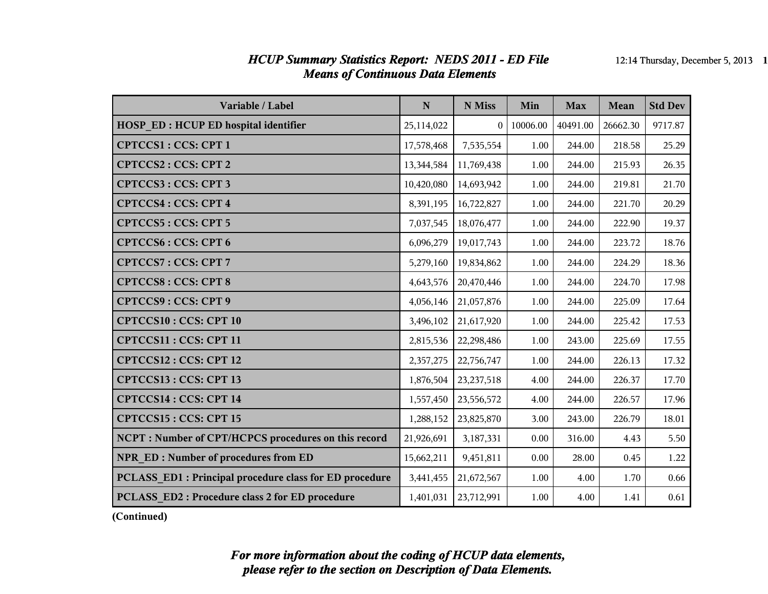#### *HCUP Summary Statistics Report: NEDS 2011 - ED File* 12:14 Thursday, December 5, 2013 1 *Means of Continuous Data Elements*

| Variable / Label                                        | N          | N Miss         | Min      | <b>Max</b> | Mean     | <b>Std Dev</b> |
|---------------------------------------------------------|------------|----------------|----------|------------|----------|----------------|
| <b>HOSP ED: HCUP ED hospital identifier</b>             | 25,114,022 | 0 <sup>1</sup> | 10006.00 | 40491.00   | 26662.30 | 9717.87        |
| CPTCCS1: CCS: CPT 1                                     | 17,578,468 | 7,535,554      | 1.00     | 244.00     | 218.58   | 25.29          |
| CPTCCS2: CCS: CPT 2                                     | 13,344,584 | 11,769,438     | 1.00     | 244.00     | 215.93   | 26.35          |
| CPTCCS3: CCS: CPT 3                                     | 10,420,080 | 14,693,942     | 1.00     | 244.00     | 219.81   | 21.70          |
| <b>CPTCCS4: CCS: CPT 4</b>                              | 8,391,195  | 16,722,827     | 1.00     | 244.00     | 221.70   | 20.29          |
| CPTCCS5: CCS: CPT 5                                     | 7,037,545  | 18,076,477     | 1.00     | 244.00     | 222.90   | 19.37          |
| <b>CPTCCS6: CCS: CPT6</b>                               | 6,096,279  | 19,017,743     | 1.00     | 244.00     | 223.72   | 18.76          |
| <b>CPTCCS7: CCS: CPT 7</b>                              | 5,279,160  | 19,834,862     | 1.00     | 244.00     | 224.29   | 18.36          |
| <b>CPTCCS8: CCS: CPT 8</b>                              | 4,643,576  | 20,470,446     | 1.00     | 244.00     | 224.70   | 17.98          |
| CPTCCS9: CCS: CPT 9                                     | 4,056,146  | 21,057,876     | 1.00     | 244.00     | 225.09   | 17.64          |
| <b>CPTCCS10: CCS: CPT 10</b>                            | 3,496,102  | 21,617,920     | 1.00     | 244.00     | 225.42   | 17.53          |
| CPTCCS11: CCS: CPT 11                                   | 2,815,536  | 22,298,486     | 1.00     | 243.00     | 225.69   | 17.55          |
| CPTCCS12: CCS: CPT 12                                   | 2,357,275  | 22,756,747     | 1.00     | 244.00     | 226.13   | 17.32          |
| CPTCCS13: CCS: CPT 13                                   | 1,876,504  | 23, 237, 518   | 4.00     | 244.00     | 226.37   | 17.70          |
| <b>CPTCCS14: CCS: CPT 14</b>                            | 1,557,450  | 23,556,572     | 4.00     | 244.00     | 226.57   | 17.96          |
| CPTCCS15: CCS: CPT 15                                   | 1,288,152  | 23,825,870     | 3.00     | 243.00     | 226.79   | 18.01          |
| NCPT: Number of CPT/HCPCS procedures on this record     | 21,926,691 | 3,187,331      | 0.00     | 316.00     | 4.43     | 5.50           |
| NPR ED: Number of procedures from ED                    | 15,662,211 | 9,451,811      | 0.00     | 28.00      | 0.45     | 1.22           |
| PCLASS ED1 : Principal procedure class for ED procedure | 3,441,455  | 21,672,567     | 1.00     | 4.00       | 1.70     | 0.66           |
| PCLASS ED2: Procedure class 2 for ED procedure          | 1,401,031  | 23,712,991     | 1.00     | 4.00       | 1.41     | 0.61           |

**(Continued)**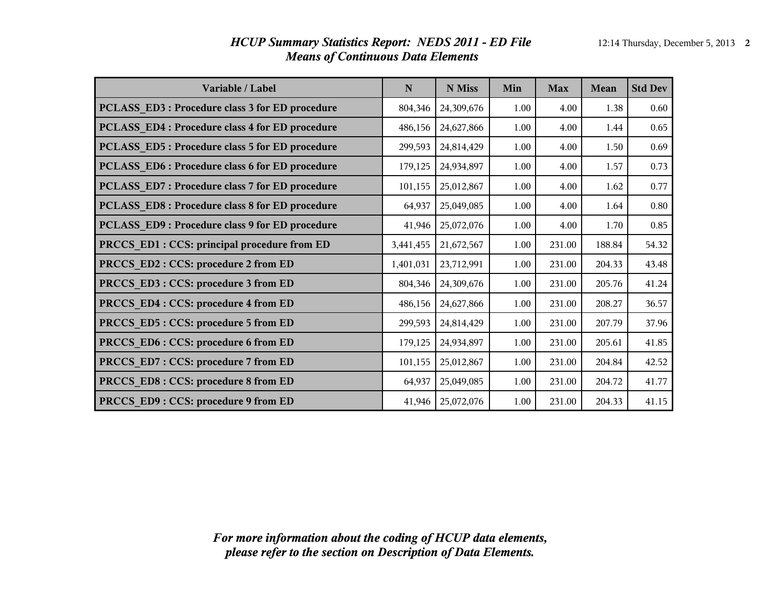| Variable / Label                                | N         | N Miss     | Min  | <b>Max</b> | Mean   | <b>Std Dev</b> |
|-------------------------------------------------|-----------|------------|------|------------|--------|----------------|
| PCLASS ED3 : Procedure class 3 for ED procedure | 804,346   | 24,309,676 | 1.00 | 4.00       | 1.38   | 0.60           |
| PCLASS ED4 : Procedure class 4 for ED procedure | 486,156   | 24,627,866 | 1.00 | 4.00       | 1.44   | 0.65           |
| PCLASS ED5: Procedure class 5 for ED procedure  | 299,593   | 24,814,429 | 1.00 | 4.00       | 1.50   | 0.69           |
| PCLASS ED6 : Procedure class 6 for ED procedure | 179,125   | 24,934,897 | 1.00 | 4.00       | 1.57   | 0.73           |
| PCLASS ED7: Procedure class 7 for ED procedure  | 101,155   | 25,012,867 | 1.00 | 4.00       | 1.62   | 0.77           |
| PCLASS ED8 : Procedure class 8 for ED procedure | 64,937    | 25,049,085 | 1.00 | 4.00       | 1.64   | 0.80           |
| PCLASS ED9 : Procedure class 9 for ED procedure | 41,946    | 25,072,076 | 1.00 | 4.00       | 1.70   | 0.85           |
| PRCCS ED1 : CCS: principal procedure from ED    | 3,441,455 | 21,672,567 | 1.00 | 231.00     | 188.84 | 54.32          |
| PRCCS ED2: CCS: procedure 2 from ED             | 1,401,031 | 23,712,991 | 1.00 | 231.00     | 204.33 | 43.48          |
| PRCCS ED3 : CCS: procedure 3 from ED            | 804,346   | 24,309,676 | 1.00 | 231.00     | 205.76 | 41.24          |
| PRCCS ED4 : CCS: procedure 4 from ED            | 486,156   | 24,627,866 | 1.00 | 231.00     | 208.27 | 36.57          |
| PRCCS_ED5: CCS: procedure 5 from ED             | 299,593   | 24,814,429 | 1.00 | 231.00     | 207.79 | 37.96          |
| PRCCS_ED6: CCS: procedure 6 from ED             | 179,125   | 24,934,897 | 1.00 | 231.00     | 205.61 | 41.85          |
| PRCCS_ED7: CCS: procedure 7 from ED             | 101,155   | 25,012,867 | 1.00 | 231.00     | 204.84 | 42.52          |
| PRCCS_ED8: CCS: procedure 8 from ED             | 64,937    | 25,049,085 | 1.00 | 231.00     | 204.72 | 41.77          |
| PRCCS ED9: CCS: procedure 9 from ED             | 41,946    | 25,072,076 | 1.00 | 231.00     | 204.33 | 41.15          |

#### *HCUP Summary Statistics Report: NEDS 2011 - ED File* 12:14 Thursday, December 5, 2013 2 *Means of Continuous Data Elements*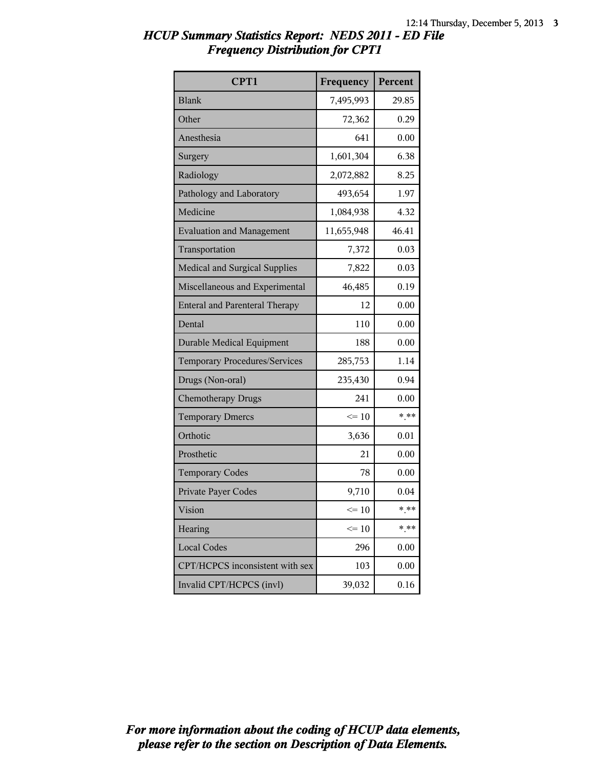| CPT1                                  | Frequency  | Percent |
|---------------------------------------|------------|---------|
| <b>Blank</b>                          | 7,495,993  | 29.85   |
| Other                                 | 72,362     | 0.29    |
| Anesthesia                            | 641        | 0.00    |
| Surgery                               | 1,601,304  | 6.38    |
| Radiology                             | 2,072,882  | 8.25    |
| Pathology and Laboratory              | 493,654    | 1.97    |
| Medicine                              | 1,084,938  | 4.32    |
| <b>Evaluation and Management</b>      | 11,655,948 | 46.41   |
| Transportation                        | 7,372      | 0.03    |
| <b>Medical and Surgical Supplies</b>  | 7,822      | 0.03    |
| Miscellaneous and Experimental        | 46,485     | 0.19    |
| <b>Enteral and Parenteral Therapy</b> | 12         | 0.00    |
| Dental                                | 110        | 0.00    |
| <b>Durable Medical Equipment</b>      | 188        | 0.00    |
| <b>Temporary Procedures/Services</b>  | 285,753    | 1.14    |
| Drugs (Non-oral)                      | 235,430    | 0.94    |
| <b>Chemotherapy Drugs</b>             | 241        | 0.00    |
| <b>Temporary Dmercs</b>               | $\leq 10$  | $***$   |
| Orthotic                              | 3,636      | 0.01    |
| Prosthetic                            | 21         | 0.00    |
| <b>Temporary Codes</b>                | 78         | 0.00    |
| Private Payer Codes                   | 9,710      | 0.04    |
| Vision                                | $\leq 10$  | * **    |
| Hearing                               | $\leq 10$  | $***$   |
| <b>Local Codes</b>                    | 296        | 0.00    |
| CPT/HCPCS inconsistent with sex       | 103        | 0.00    |
| Invalid CPT/HCPCS (invl)              | 39,032     | 0.16    |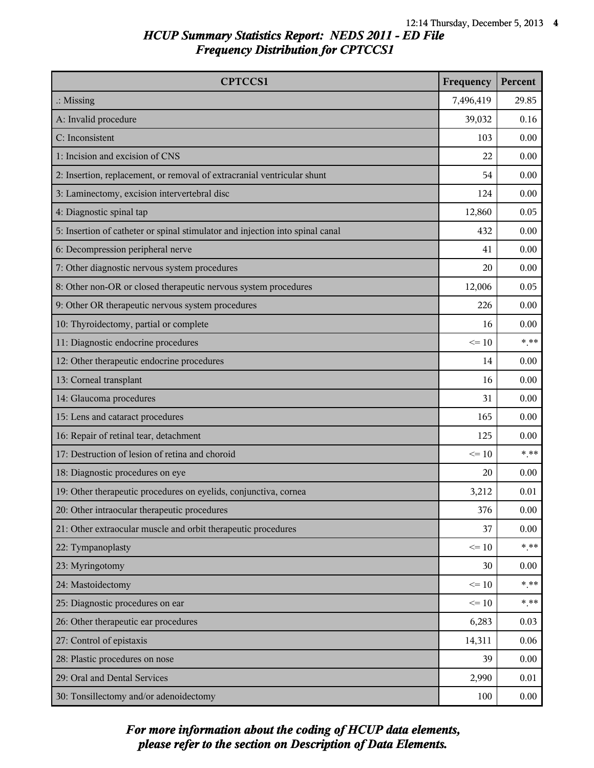| <b>CPTCCS1</b>                                                                | Frequency | Percent  |
|-------------------------------------------------------------------------------|-----------|----------|
| $\therefore$ Missing                                                          | 7,496,419 | 29.85    |
| A: Invalid procedure                                                          | 39,032    | 0.16     |
| C: Inconsistent                                                               | 103       | 0.00     |
| 1: Incision and excision of CNS                                               | 22        | 0.00     |
| 2: Insertion, replacement, or removal of extracranial ventricular shunt       | 54        | 0.00     |
| 3: Laminectomy, excision intervertebral disc                                  | 124       | 0.00     |
| 4: Diagnostic spinal tap                                                      | 12,860    | 0.05     |
| 5: Insertion of catheter or spinal stimulator and injection into spinal canal | 432       | 0.00     |
| 6: Decompression peripheral nerve                                             | 41        | 0.00     |
| 7: Other diagnostic nervous system procedures                                 | 20        | 0.00     |
| 8: Other non-OR or closed therapeutic nervous system procedures               | 12,006    | 0.05     |
| 9: Other OR therapeutic nervous system procedures                             | 226       | 0.00     |
| 10: Thyroidectomy, partial or complete                                        | 16        | 0.00     |
| 11: Diagnostic endocrine procedures                                           | $\leq 10$ | $***$    |
| 12: Other therapeutic endocrine procedures                                    | 14        | 0.00     |
| 13: Corneal transplant                                                        | 16        | 0.00     |
| 14: Glaucoma procedures                                                       | 31        | 0.00     |
| 15: Lens and cataract procedures                                              | 165       | 0.00     |
| 16: Repair of retinal tear, detachment                                        | 125       | 0.00     |
| 17: Destruction of lesion of retina and choroid                               | $\leq 10$ | $***$    |
| 18: Diagnostic procedures on eye                                              | 20        | 0.00     |
| 19: Other therapeutic procedures on eyelids, conjunctiva, cornea              | 3,212     | 0.01     |
| 20: Other intraocular therapeutic procedures                                  | 376       | 0.00     |
| 21: Other extraocular muscle and orbit therapeutic procedures                 | 37        | 0.00     |
| 22: Tympanoplasty                                                             | $\leq 10$ | $***$    |
| 23: Myringotomy                                                               | 30        | 0.00     |
| 24: Mastoidectomy                                                             | $\leq 10$ | $*$ **   |
| 25: Diagnostic procedures on ear                                              | $\leq 10$ | $***$    |
| 26: Other therapeutic ear procedures                                          | 6,283     | 0.03     |
| 27: Control of epistaxis                                                      | 14,311    | 0.06     |
| 28: Plastic procedures on nose                                                | 39        | 0.00     |
| 29: Oral and Dental Services                                                  | 2,990     | 0.01     |
| 30: Tonsillectomy and/or adenoidectomy                                        | 100       | $0.00\,$ |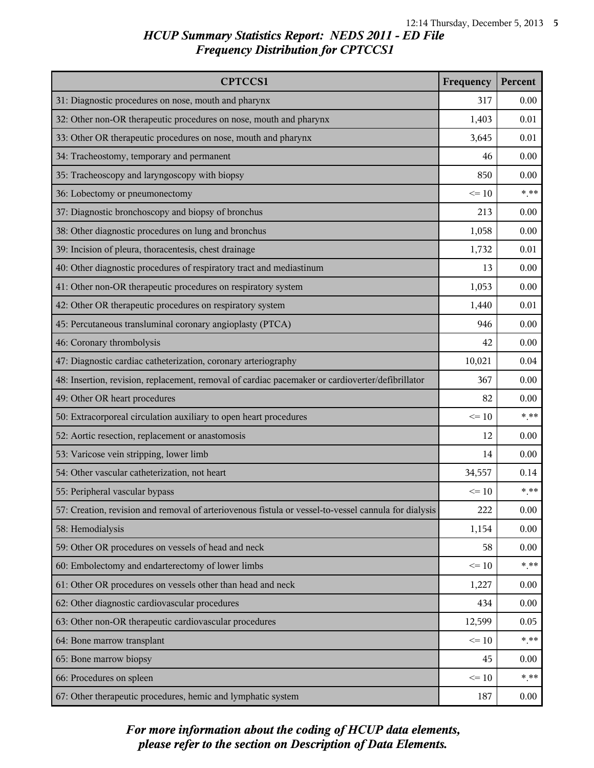| <b>CPTCCS1</b>                                                                                       | Frequency | Percent |
|------------------------------------------------------------------------------------------------------|-----------|---------|
| 31: Diagnostic procedures on nose, mouth and pharynx                                                 | 317       | 0.00    |
| 32: Other non-OR therapeutic procedures on nose, mouth and pharynx                                   | 1,403     | 0.01    |
| 33: Other OR therapeutic procedures on nose, mouth and pharynx                                       | 3,645     | 0.01    |
| 34: Tracheostomy, temporary and permanent                                                            | 46        | 0.00    |
| 35: Tracheoscopy and laryngoscopy with biopsy                                                        | 850       | 0.00    |
| 36: Lobectomy or pneumonectomy                                                                       | $\leq 10$ | $***$   |
| 37: Diagnostic bronchoscopy and biopsy of bronchus                                                   | 213       | 0.00    |
| 38: Other diagnostic procedures on lung and bronchus                                                 | 1,058     | 0.00    |
| 39: Incision of pleura, thoracentesis, chest drainage                                                | 1,732     | 0.01    |
| 40: Other diagnostic procedures of respiratory tract and mediastinum                                 | 13        | 0.00    |
| 41: Other non-OR therapeutic procedures on respiratory system                                        | 1,053     | 0.00    |
| 42: Other OR therapeutic procedures on respiratory system                                            | 1,440     | 0.01    |
| 45: Percutaneous transluminal coronary angioplasty (PTCA)                                            | 946       | 0.00    |
| 46: Coronary thrombolysis                                                                            | 42        | 0.00    |
| 47: Diagnostic cardiac catheterization, coronary arteriography                                       | 10,021    | 0.04    |
| 48: Insertion, revision, replacement, removal of cardiac pacemaker or cardioverter/defibrillator     | 367       | 0.00    |
| 49: Other OR heart procedures                                                                        | 82        | 0.00    |
| 50: Extracorporeal circulation auxiliary to open heart procedures                                    | $\leq 10$ | $***$   |
| 52: Aortic resection, replacement or anastomosis                                                     | 12        | 0.00    |
| 53: Varicose vein stripping, lower limb                                                              | 14        | 0.00    |
| 54: Other vascular catheterization, not heart                                                        | 34,557    | 0.14    |
| 55: Peripheral vascular bypass                                                                       | $\leq 10$ | $***$   |
| 57: Creation, revision and removal of arteriovenous fistula or vessel-to-vessel cannula for dialysis | 222       | 0.00    |
| 58: Hemodialysis                                                                                     | 1,154     | 0.00    |
| 59: Other OR procedures on vessels of head and neck                                                  | 58        | 0.00    |
| 60: Embolectomy and endarterectomy of lower limbs                                                    | $\leq 10$ | $***$   |
| 61: Other OR procedures on vessels other than head and neck                                          | 1,227     | 0.00    |
| 62: Other diagnostic cardiovascular procedures                                                       | 434       | 0.00    |
| 63: Other non-OR therapeutic cardiovascular procedures                                               | 12,599    | 0.05    |
| 64: Bone marrow transplant                                                                           | $\leq 10$ | $***$   |
| 65: Bone marrow biopsy                                                                               | 45        | 0.00    |
| 66: Procedures on spleen                                                                             | $\leq 10$ | $***$   |
| 67: Other therapeutic procedures, hemic and lymphatic system                                         | 187       | 0.00    |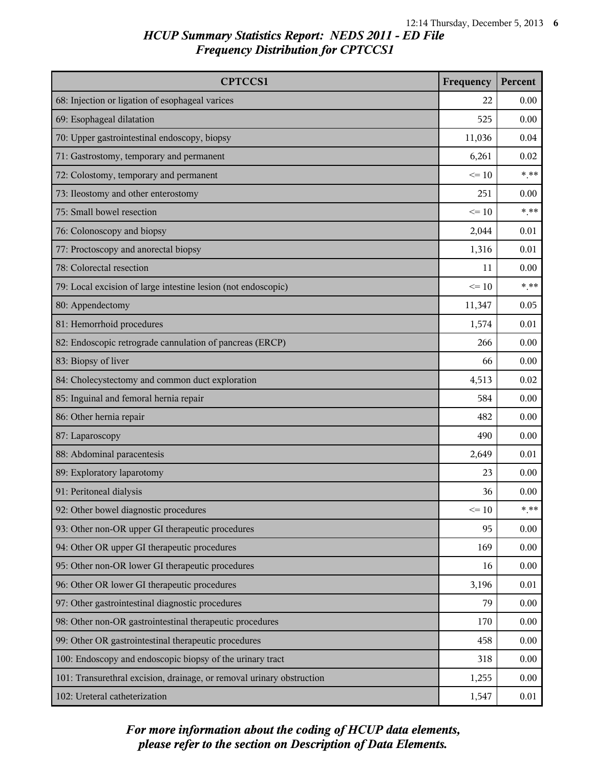| <b>CPTCCS1</b>                                                        | Frequency | Percent |
|-----------------------------------------------------------------------|-----------|---------|
| 68: Injection or ligation of esophageal varices                       | 22        | 0.00    |
| 69: Esophageal dilatation                                             | 525       | 0.00    |
| 70: Upper gastrointestinal endoscopy, biopsy                          | 11,036    | 0.04    |
| 71: Gastrostomy, temporary and permanent                              | 6,261     | 0.02    |
| 72: Colostomy, temporary and permanent                                | $\leq 10$ | $***$   |
| 73: Ileostomy and other enterostomy                                   | 251       | 0.00    |
| 75: Small bowel resection                                             | $\leq 10$ | $***$   |
| 76: Colonoscopy and biopsy                                            | 2,044     | 0.01    |
| 77: Proctoscopy and anorectal biopsy                                  | 1,316     | 0.01    |
| 78: Colorectal resection                                              | 11        | 0.00    |
| 79: Local excision of large intestine lesion (not endoscopic)         | $\leq 10$ | $***$   |
| 80: Appendectomy                                                      | 11,347    | 0.05    |
| 81: Hemorrhoid procedures                                             | 1,574     | 0.01    |
| 82: Endoscopic retrograde cannulation of pancreas (ERCP)              | 266       | 0.00    |
| 83: Biopsy of liver                                                   | 66        | 0.00    |
| 84: Cholecystectomy and common duct exploration                       | 4,513     | 0.02    |
| 85: Inguinal and femoral hernia repair                                | 584       | 0.00    |
| 86: Other hernia repair                                               | 482       | 0.00    |
| 87: Laparoscopy                                                       | 490       | 0.00    |
| 88: Abdominal paracentesis                                            | 2,649     | 0.01    |
| 89: Exploratory laparotomy                                            | 23        | 0.00    |
| 91: Peritoneal dialysis                                               | 36        | 0.00    |
| 92: Other bowel diagnostic procedures                                 | $\leq 10$ | $***$   |
| 93: Other non-OR upper GI therapeutic procedures                      | 95        | 0.00    |
| 94: Other OR upper GI therapeutic procedures                          | 169       | 0.00    |
| 95: Other non-OR lower GI therapeutic procedures                      | 16        | 0.00    |
| 96: Other OR lower GI therapeutic procedures                          | 3,196     | 0.01    |
| 97: Other gastrointestinal diagnostic procedures                      | 79        | 0.00    |
| 98: Other non-OR gastrointestinal therapeutic procedures              | 170       | 0.00    |
| 99: Other OR gastrointestinal therapeutic procedures                  | 458       | 0.00    |
| 100: Endoscopy and endoscopic biopsy of the urinary tract             | 318       | 0.00    |
| 101: Transurethral excision, drainage, or removal urinary obstruction | 1,255     | 0.00    |
| 102: Ureteral catheterization                                         | 1,547     | 0.01    |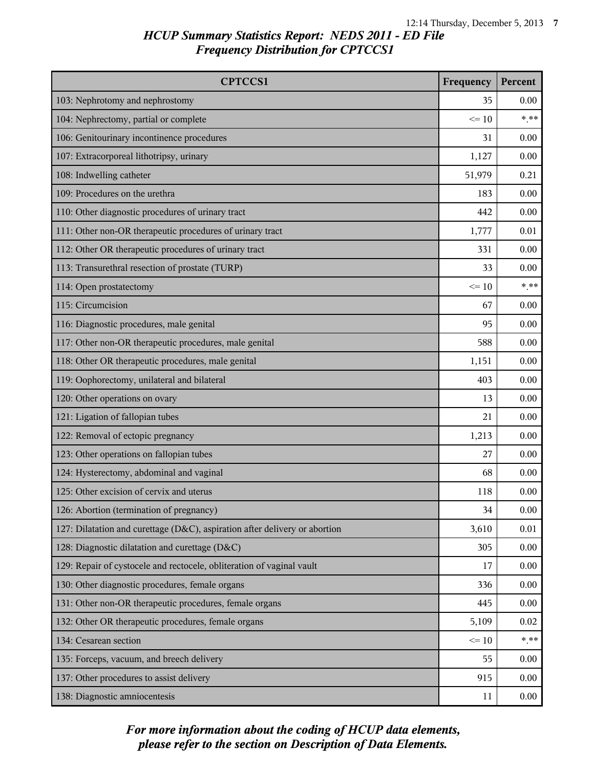| <b>CPTCCS1</b>                                                             | Frequency | Percent |
|----------------------------------------------------------------------------|-----------|---------|
| 103: Nephrotomy and nephrostomy                                            | 35        | 0.00    |
| 104: Nephrectomy, partial or complete                                      | $\leq 10$ | $***$   |
| 106: Genitourinary incontinence procedures                                 | 31        | 0.00    |
| 107: Extracorporeal lithotripsy, urinary                                   | 1,127     | 0.00    |
| 108: Indwelling catheter                                                   | 51,979    | 0.21    |
| 109: Procedures on the urethra                                             | 183       | 0.00    |
| 110: Other diagnostic procedures of urinary tract                          | 442       | 0.00    |
| 111: Other non-OR therapeutic procedures of urinary tract                  | 1,777     | 0.01    |
| 112: Other OR therapeutic procedures of urinary tract                      | 331       | 0.00    |
| 113: Transurethral resection of prostate (TURP)                            | 33        | 0.00    |
| 114: Open prostatectomy                                                    | $\leq 10$ | $***$   |
| 115: Circumcision                                                          | 67        | 0.00    |
| 116: Diagnostic procedures, male genital                                   | 95        | 0.00    |
| 117: Other non-OR therapeutic procedures, male genital                     | 588       | 0.00    |
| 118: Other OR therapeutic procedures, male genital                         | 1,151     | 0.00    |
| 119: Oophorectomy, unilateral and bilateral                                | 403       | 0.00    |
| 120: Other operations on ovary                                             | 13        | 0.00    |
| 121: Ligation of fallopian tubes                                           | 21        | 0.00    |
| 122: Removal of ectopic pregnancy                                          | 1,213     | 0.00    |
| 123: Other operations on fallopian tubes                                   | 27        | 0.00    |
| 124: Hysterectomy, abdominal and vaginal                                   | 68        | 0.00    |
| 125: Other excision of cervix and uterus                                   | 118       | 0.00    |
| 126: Abortion (termination of pregnancy)                                   | 34        | 0.00    |
| 127: Dilatation and curettage (D&C), aspiration after delivery or abortion | 3,610     | 0.01    |
| 128: Diagnostic dilatation and curettage (D&C)                             | 305       | 0.00    |
| 129: Repair of cystocele and rectocele, obliteration of vaginal vault      | 17        | 0.00    |
| 130: Other diagnostic procedures, female organs                            | 336       | 0.00    |
| 131: Other non-OR therapeutic procedures, female organs                    | 445       | 0.00    |
| 132: Other OR therapeutic procedures, female organs                        | 5,109     | 0.02    |
| 134: Cesarean section                                                      | $\leq 10$ | $* * *$ |
| 135: Forceps, vacuum, and breech delivery                                  | 55        | 0.00    |
| 137: Other procedures to assist delivery                                   | 915       | 0.00    |
| 138: Diagnostic amniocentesis                                              | 11        | 0.00    |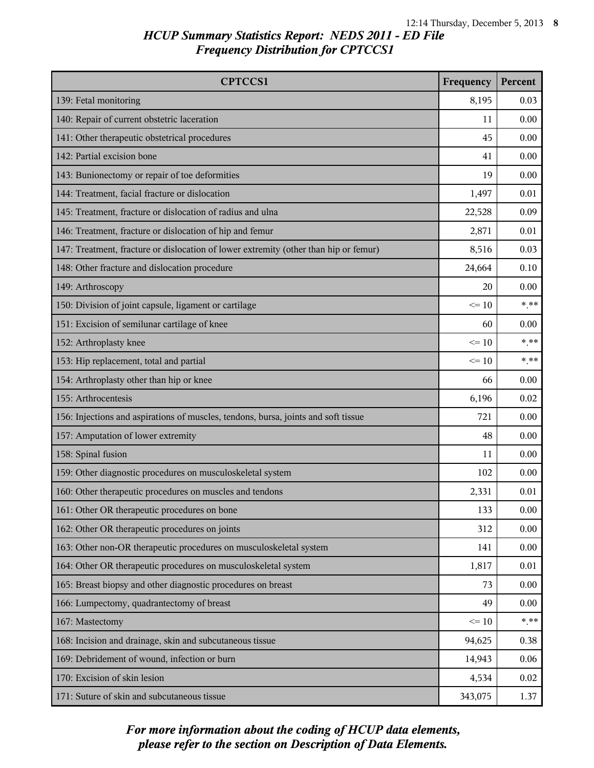| <b>CPTCCS1</b>                                                                       | Frequency | Percent        |
|--------------------------------------------------------------------------------------|-----------|----------------|
| 139: Fetal monitoring                                                                | 8,195     | 0.03           |
| 140: Repair of current obstetric laceration                                          | 11        | 0.00           |
| 141: Other therapeutic obstetrical procedures                                        | 45        | 0.00           |
| 142: Partial excision bone                                                           | 41        | 0.00           |
| 143: Bunionectomy or repair of toe deformities                                       | 19        | 0.00           |
| 144: Treatment, facial fracture or dislocation                                       | 1,497     | 0.01           |
| 145: Treatment, fracture or dislocation of radius and ulna                           | 22,528    | 0.09           |
| 146: Treatment, fracture or dislocation of hip and femur                             | 2,871     | 0.01           |
| 147: Treatment, fracture or dislocation of lower extremity (other than hip or femur) | 8,516     | 0.03           |
| 148: Other fracture and dislocation procedure                                        | 24,664    | 0.10           |
| 149: Arthroscopy                                                                     | 20        | 0.00           |
| 150: Division of joint capsule, ligament or cartilage                                | $\leq 10$ | $\ast\ast\ast$ |
| 151: Excision of semilunar cartilage of knee                                         | 60        | 0.00           |
| 152: Arthroplasty knee                                                               | $\leq$ 10 | * **           |
| 153: Hip replacement, total and partial                                              | $\leq 10$ | $***$          |
| 154: Arthroplasty other than hip or knee                                             | 66        | 0.00           |
| 155: Arthrocentesis                                                                  | 6,196     | 0.02           |
| 156: Injections and aspirations of muscles, tendons, bursa, joints and soft tissue   | 721       | 0.00           |
| 157: Amputation of lower extremity                                                   | 48        | 0.00           |
| 158: Spinal fusion                                                                   | 11        | 0.00           |
| 159: Other diagnostic procedures on musculoskeletal system                           | 102       | 0.00           |
| 160: Other therapeutic procedures on muscles and tendons                             | 2,331     | 0.01           |
| 161: Other OR therapeutic procedures on bone                                         | 133       | 0.00           |
| 162: Other OR therapeutic procedures on joints                                       | 312       | 0.00           |
| 163: Other non-OR therapeutic procedures on musculoskeletal system                   | 141       | 0.00           |
| 164: Other OR therapeutic procedures on musculoskeletal system                       | 1,817     | 0.01           |
| 165: Breast biopsy and other diagnostic procedures on breast                         | 73        | 0.00           |
| 166: Lumpectomy, quadrantectomy of breast                                            | 49        | 0.00           |
| 167: Mastectomy                                                                      | $\leq 10$ | $***$          |
| 168: Incision and drainage, skin and subcutaneous tissue                             | 94,625    | 0.38           |
| 169: Debridement of wound, infection or burn                                         | 14,943    | 0.06           |
| 170: Excision of skin lesion                                                         | 4,534     | 0.02           |
| 171: Suture of skin and subcutaneous tissue                                          | 343,075   | 1.37           |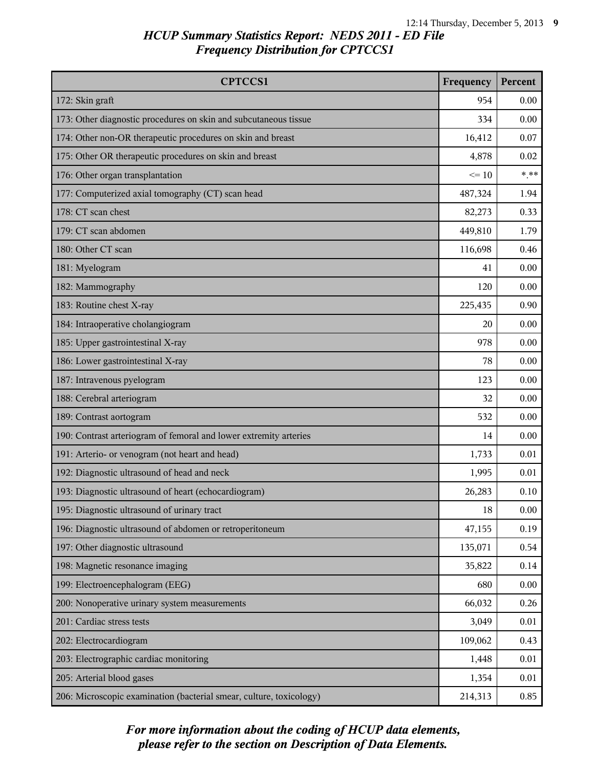| <b>CPTCCS1</b>                                                      | Frequency | Percent |
|---------------------------------------------------------------------|-----------|---------|
| 172: Skin graft                                                     | 954       | 0.00    |
| 173: Other diagnostic procedures on skin and subcutaneous tissue    | 334       | 0.00    |
| 174: Other non-OR therapeutic procedures on skin and breast         | 16,412    | 0.07    |
| 175: Other OR therapeutic procedures on skin and breast             | 4,878     | 0.02    |
| 176: Other organ transplantation                                    | $\leq 10$ | $***$   |
| 177: Computerized axial tomography (CT) scan head                   | 487,324   | 1.94    |
| 178: CT scan chest                                                  | 82,273    | 0.33    |
| 179: CT scan abdomen                                                | 449,810   | 1.79    |
| 180: Other CT scan                                                  | 116,698   | 0.46    |
| 181: Myelogram                                                      | 41        | 0.00    |
| 182: Mammography                                                    | 120       | 0.00    |
| 183: Routine chest X-ray                                            | 225,435   | 0.90    |
| 184: Intraoperative cholangiogram                                   | 20        | 0.00    |
| 185: Upper gastrointestinal X-ray                                   | 978       | 0.00    |
| 186: Lower gastrointestinal X-ray                                   | 78        | 0.00    |
| 187: Intravenous pyelogram                                          | 123       | 0.00    |
| 188: Cerebral arteriogram                                           | 32        | 0.00    |
| 189: Contrast aortogram                                             | 532       | 0.00    |
| 190: Contrast arteriogram of femoral and lower extremity arteries   | 14        | 0.00    |
| 191: Arterio- or venogram (not heart and head)                      | 1,733     | 0.01    |
| 192: Diagnostic ultrasound of head and neck                         | 1,995     | 0.01    |
| 193: Diagnostic ultrasound of heart (echocardiogram)                | 26,283    | 0.10    |
| 195: Diagnostic ultrasound of urinary tract                         | 18        | 0.00    |
| 196: Diagnostic ultrasound of abdomen or retroperitoneum            | 47,155    | 0.19    |
| 197: Other diagnostic ultrasound                                    | 135,071   | 0.54    |
| 198: Magnetic resonance imaging                                     | 35,822    | 0.14    |
| 199: Electroencephalogram (EEG)                                     | 680       | 0.00    |
| 200: Nonoperative urinary system measurements                       | 66,032    | 0.26    |
| 201: Cardiac stress tests                                           | 3,049     | 0.01    |
| 202: Electrocardiogram                                              | 109,062   | 0.43    |
| 203: Electrographic cardiac monitoring                              | 1,448     | 0.01    |
| 205: Arterial blood gases                                           | 1,354     | 0.01    |
| 206: Microscopic examination (bacterial smear, culture, toxicology) | 214,313   | 0.85    |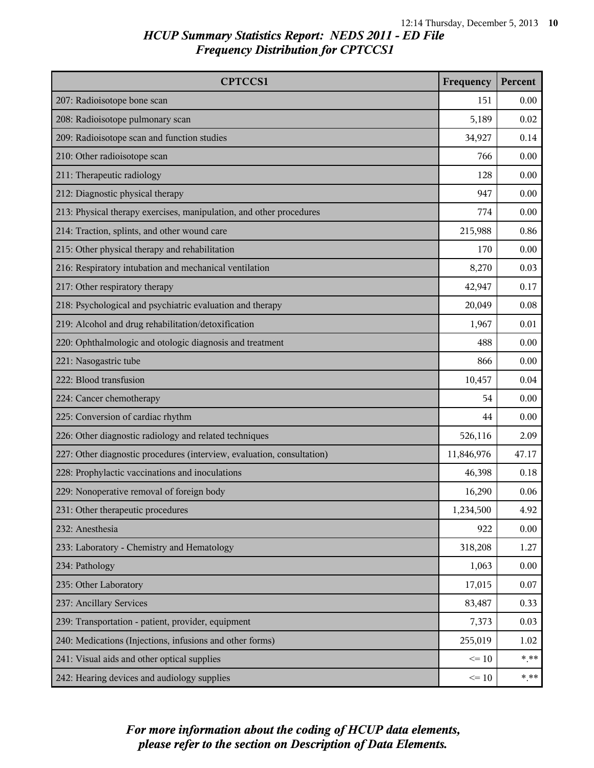| <b>CPTCCS1</b>                                                         | Frequency  | Percent |
|------------------------------------------------------------------------|------------|---------|
| 207: Radioisotope bone scan                                            | 151        | 0.00    |
| 208: Radioisotope pulmonary scan                                       | 5,189      | 0.02    |
| 209: Radioisotope scan and function studies                            | 34,927     | 0.14    |
| 210: Other radioisotope scan                                           | 766        | 0.00    |
| 211: Therapeutic radiology                                             | 128        | 0.00    |
| 212: Diagnostic physical therapy                                       | 947        | 0.00    |
| 213: Physical therapy exercises, manipulation, and other procedures    | 774        | 0.00    |
| 214: Traction, splints, and other wound care                           | 215,988    | 0.86    |
| 215: Other physical therapy and rehabilitation                         | 170        | 0.00    |
| 216: Respiratory intubation and mechanical ventilation                 | 8,270      | 0.03    |
| 217: Other respiratory therapy                                         | 42,947     | 0.17    |
| 218: Psychological and psychiatric evaluation and therapy              | 20,049     | 0.08    |
| 219: Alcohol and drug rehabilitation/detoxification                    | 1,967      | 0.01    |
| 220: Ophthalmologic and otologic diagnosis and treatment               | 488        | 0.00    |
| 221: Nasogastric tube                                                  | 866        | 0.00    |
| 222: Blood transfusion                                                 | 10,457     | 0.04    |
| 224: Cancer chemotherapy                                               | 54         | 0.00    |
| 225: Conversion of cardiac rhythm                                      |            | 0.00    |
| 226: Other diagnostic radiology and related techniques                 | 526,116    | 2.09    |
| 227: Other diagnostic procedures (interview, evaluation, consultation) | 11,846,976 | 47.17   |
| 228: Prophylactic vaccinations and inoculations                        | 46,398     | 0.18    |
| 229: Nonoperative removal of foreign body                              | 16,290     | 0.06    |
| 231: Other therapeutic procedures                                      | 1,234,500  | 4.92    |
| 232: Anesthesia                                                        | 922        | 0.00    |
| 233: Laboratory - Chemistry and Hematology                             | 318,208    | 1.27    |
| 234: Pathology                                                         | 1,063      | 0.00    |
| 235: Other Laboratory                                                  | 17,015     | 0.07    |
| 237: Ancillary Services                                                | 83,487     | 0.33    |
| 239: Transportation - patient, provider, equipment                     | 7,373      | 0.03    |
| 240: Medications (Injections, infusions and other forms)               | 255,019    | 1.02    |
| 241: Visual aids and other optical supplies                            | $\leq 10$  | $***$   |
| 242: Hearing devices and audiology supplies                            | $\leq 10$  | $* * *$ |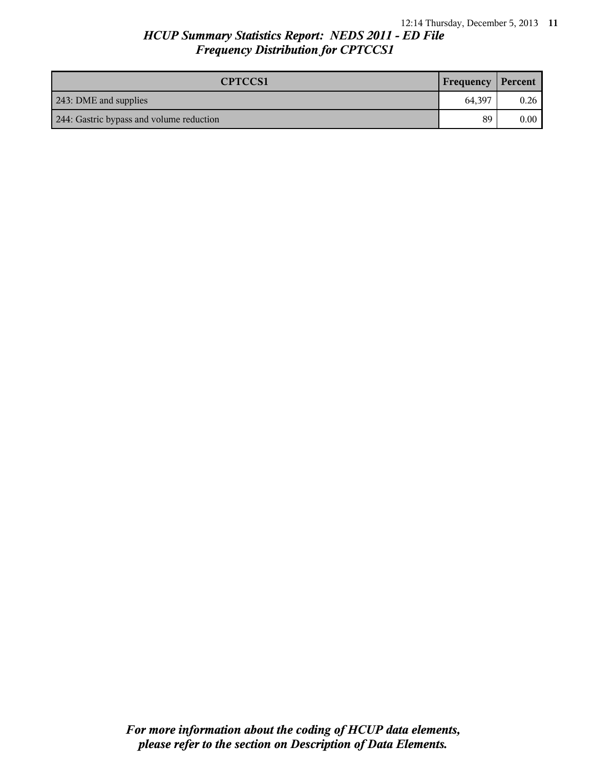| <b>CPTCCS1</b>                           | <b>Frequency Percent</b> |          |
|------------------------------------------|--------------------------|----------|
| 243: DME and supplies                    | 64.397                   | 0.26     |
| 244: Gastric bypass and volume reduction | 89                       | $0.00\,$ |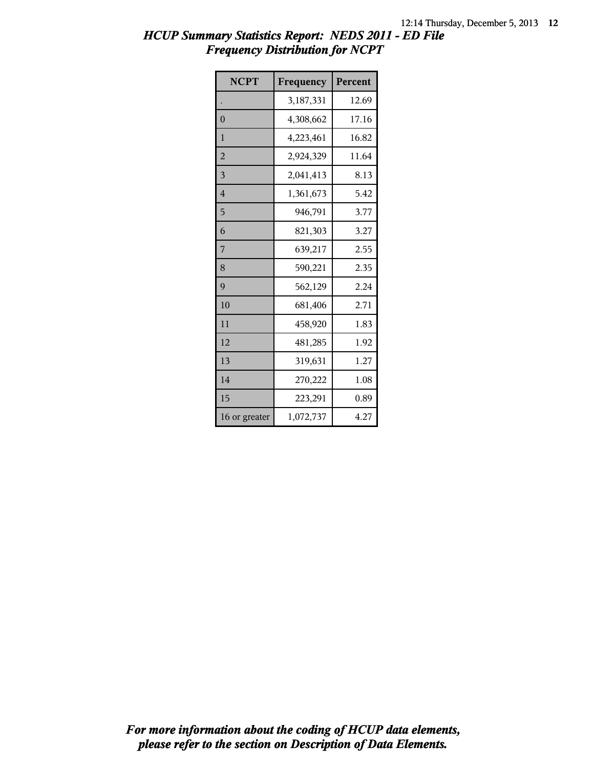| <b>NCPT</b>    | Frequency | Percent |
|----------------|-----------|---------|
|                | 3,187,331 | 12.69   |
| $\mathbf{0}$   | 4,308,662 | 17.16   |
| 1              | 4,223,461 | 16.82   |
| $\overline{2}$ | 2,924,329 | 11.64   |
| 3              | 2,041,413 | 8.13    |
| $\overline{4}$ | 1,361,673 | 5.42    |
| 5              | 946,791   | 3.77    |
| 6              | 821,303   | 3.27    |
| 7              | 639,217   | 2.55    |
| 8              | 590,221   | 2.35    |
| 9              | 562,129   | 2.24    |
| 10             | 681,406   | 2.71    |
| 11             | 458,920   | 1.83    |
| 12             | 481,285   | 1.92    |
| 13             | 319,631   | 1.27    |
| 14             | 270,222   | 1.08    |
| 15             | 223,291   | 0.89    |
| 16 or greater  | 1,072,737 | 4.27    |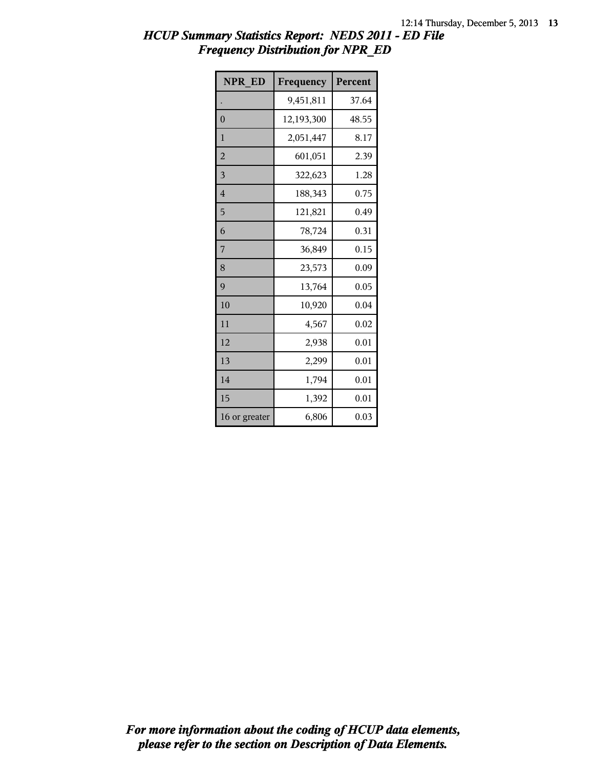| <b>NPR ED</b>  | Frequency  | Percent |
|----------------|------------|---------|
|                | 9,451,811  | 37.64   |
| $\overline{0}$ | 12,193,300 | 48.55   |
| 1              | 2,051,447  | 8.17    |
| $\overline{2}$ | 601,051    | 2.39    |
| $\overline{3}$ | 322,623    | 1.28    |
| $\overline{4}$ | 188,343    | 0.75    |
| 5              | 121,821    | 0.49    |
| 6              | 78,724     | 0.31    |
| 7              | 36,849     | 0.15    |
| 8              | 23,573     | 0.09    |
| 9              | 13,764     | 0.05    |
| 10             | 10,920     | 0.04    |
| 11             | 4,567      | 0.02    |
| 12             | 2,938      | 0.01    |
| 13             | 2,299      | 0.01    |
| 14             | 1,794      | 0.01    |
| 15             | 1,392      | 0.01    |
| 16 or greater  | 6,806      | 0.03    |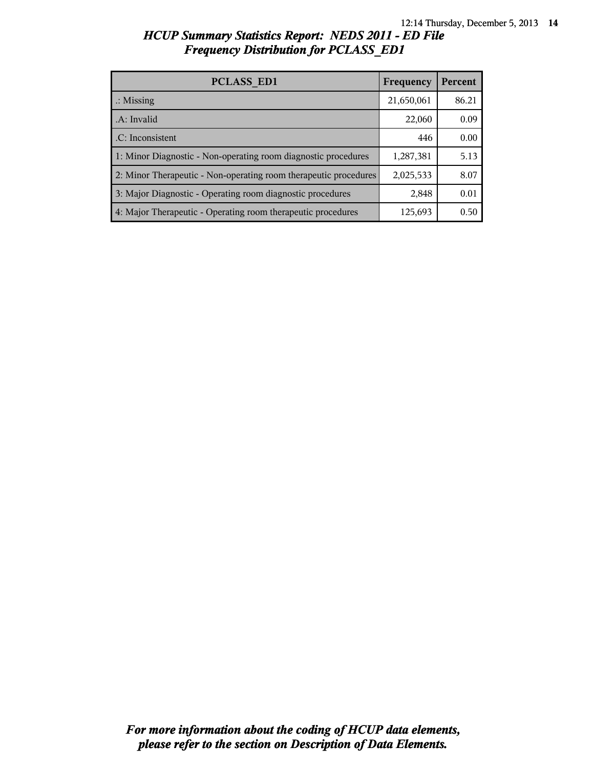| <b>PCLASS ED1</b>                                                | Frequency  | Percent |
|------------------------------------------------------------------|------------|---------|
| $\therefore$ Missing                                             | 21,650,061 | 86.21   |
| A: Invalid                                                       | 22,060     | 0.09    |
| .C: Inconsistent                                                 | 446        | 0.00    |
| 1: Minor Diagnostic - Non-operating room diagnostic procedures   | 1,287,381  | 5.13    |
| 2: Minor Therapeutic - Non-operating room therapeutic procedures | 2,025,533  | 8.07    |
| 3: Major Diagnostic - Operating room diagnostic procedures       | 2,848      | 0.01    |
| 4: Major Therapeutic - Operating room therapeutic procedures     | 125,693    | 0.50    |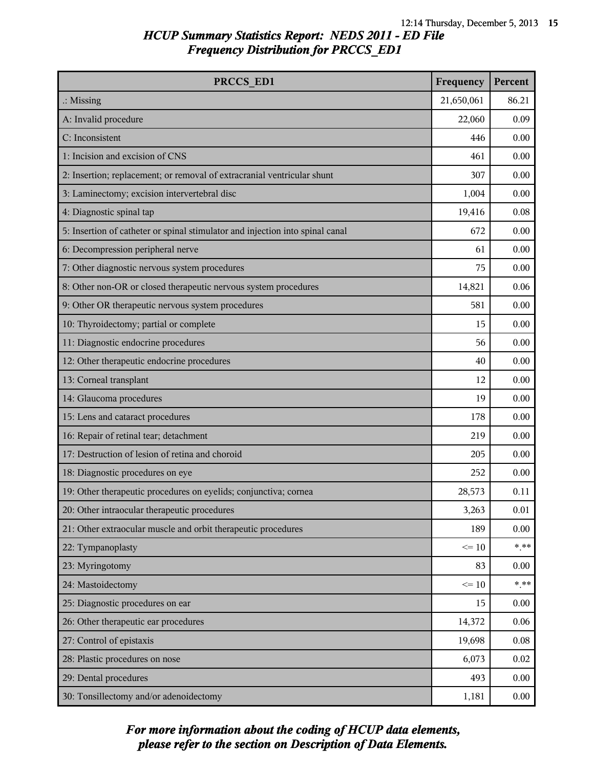| PRCCS ED1                                                                     | Frequency  | Percent |
|-------------------------------------------------------------------------------|------------|---------|
| $\therefore$ Missing                                                          | 21,650,061 | 86.21   |
| A: Invalid procedure                                                          | 22,060     | 0.09    |
| C: Inconsistent                                                               | 446        | 0.00    |
| 1: Incision and excision of CNS                                               | 461        | 0.00    |
| 2: Insertion; replacement; or removal of extracranial ventricular shunt       | 307        | 0.00    |
| 3: Laminectomy; excision intervertebral disc                                  | 1,004      | 0.00    |
| 4: Diagnostic spinal tap                                                      | 19,416     | 0.08    |
| 5: Insertion of catheter or spinal stimulator and injection into spinal canal | 672        | 0.00    |
| 6: Decompression peripheral nerve                                             | 61         | 0.00    |
| 7: Other diagnostic nervous system procedures                                 | 75         | 0.00    |
| 8: Other non-OR or closed therapeutic nervous system procedures               | 14,821     | 0.06    |
| 9: Other OR therapeutic nervous system procedures                             | 581        | 0.00    |
| 10: Thyroidectomy; partial or complete                                        | 15         | 0.00    |
| 11: Diagnostic endocrine procedures                                           | 56         | 0.00    |
| 12: Other therapeutic endocrine procedures                                    | 40         | 0.00    |
| 13: Corneal transplant                                                        | 12         | 0.00    |
| 14: Glaucoma procedures                                                       | 19         | 0.00    |
| 15: Lens and cataract procedures                                              | 178        | 0.00    |
| 16: Repair of retinal tear; detachment                                        | 219        | 0.00    |
| 17: Destruction of lesion of retina and choroid                               | 205        | 0.00    |
| 18: Diagnostic procedures on eye                                              | 252        | 0.00    |
| 19: Other therapeutic procedures on eyelids; conjunctiva; cornea              | 28,573     | 0.11    |
| 20: Other intraocular therapeutic procedures                                  | 3,263      | 0.01    |
| 21: Other extraocular muscle and orbit therapeutic procedures                 | 189        | 0.00    |
| 22: Tympanoplasty                                                             | $\leq 10$  | $***$   |
| 23: Myringotomy                                                               | 83         | 0.00    |
| 24: Mastoidectomy                                                             | $\leq 10$  | $* * *$ |
| 25: Diagnostic procedures on ear                                              | 15         | 0.00    |
| 26: Other therapeutic ear procedures                                          | 14,372     | 0.06    |
| 27: Control of epistaxis                                                      | 19,698     | 0.08    |
| 28: Plastic procedures on nose                                                | 6,073      | 0.02    |
| 29: Dental procedures                                                         | 493        | 0.00    |
| 30: Tonsillectomy and/or adenoidectomy                                        | 1,181      | 0.00    |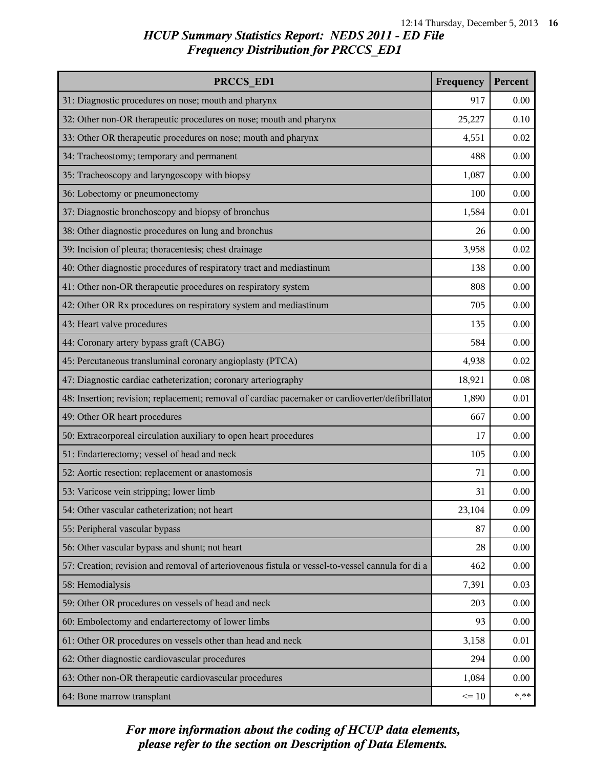| PRCCS ED1                                                                                        | Frequency | Percent |
|--------------------------------------------------------------------------------------------------|-----------|---------|
| 31: Diagnostic procedures on nose; mouth and pharynx                                             | 917       | 0.00    |
| 32: Other non-OR therapeutic procedures on nose; mouth and pharynx                               | 25,227    | 0.10    |
| 33: Other OR therapeutic procedures on nose; mouth and pharynx                                   | 4,551     | 0.02    |
| 34: Tracheostomy; temporary and permanent                                                        | 488       | 0.00    |
| 35: Tracheoscopy and laryngoscopy with biopsy                                                    | 1,087     | 0.00    |
| 36: Lobectomy or pneumonectomy                                                                   | 100       | 0.00    |
| 37: Diagnostic bronchoscopy and biopsy of bronchus                                               | 1,584     | 0.01    |
| 38: Other diagnostic procedures on lung and bronchus                                             | 26        | 0.00    |
| 39: Incision of pleura; thoracentesis; chest drainage                                            | 3,958     | 0.02    |
| 40: Other diagnostic procedures of respiratory tract and mediastinum                             | 138       | 0.00    |
| 41: Other non-OR therapeutic procedures on respiratory system                                    | 808       | 0.00    |
| 42: Other OR Rx procedures on respiratory system and mediastinum                                 | 705       | 0.00    |
| 43: Heart valve procedures                                                                       | 135       | 0.00    |
| 44: Coronary artery bypass graft (CABG)                                                          | 584       | 0.00    |
| 45: Percutaneous transluminal coronary angioplasty (PTCA)                                        | 4,938     | 0.02    |
| 47: Diagnostic cardiac catheterization; coronary arteriography                                   | 18,921    | 0.08    |
| 48: Insertion; revision; replacement; removal of cardiac pacemaker or cardioverter/defibrillator | 1,890     | 0.01    |
| 49: Other OR heart procedures                                                                    | 667       | 0.00    |
| 50: Extracorporeal circulation auxiliary to open heart procedures                                | 17        | 0.00    |
| 51: Endarterectomy; vessel of head and neck                                                      | 105       | 0.00    |
| 52: Aortic resection; replacement or anastomosis                                                 | 71        | 0.00    |
| 53: Varicose vein stripping; lower limb                                                          | 31        | 0.00    |
| 54: Other vascular catheterization; not heart                                                    | 23,104    | 0.09    |
| 55: Peripheral vascular bypass                                                                   | 87        | 0.00    |
| 56: Other vascular bypass and shunt; not heart                                                   | 28        | 0.00    |
| 57: Creation; revision and removal of arteriovenous fistula or vessel-to-vessel cannula for di a | 462       | 0.00    |
| 58: Hemodialysis                                                                                 | 7,391     | 0.03    |
| 59: Other OR procedures on vessels of head and neck                                              | 203       | 0.00    |
| 60: Embolectomy and endarterectomy of lower limbs                                                | 93        | 0.00    |
| 61: Other OR procedures on vessels other than head and neck                                      | 3,158     | 0.01    |
| 62: Other diagnostic cardiovascular procedures                                                   | 294       | 0.00    |
| 63: Other non-OR therapeutic cardiovascular procedures                                           | 1,084     | 0.00    |
| 64: Bone marrow transplant                                                                       | $\leq 10$ | $***$   |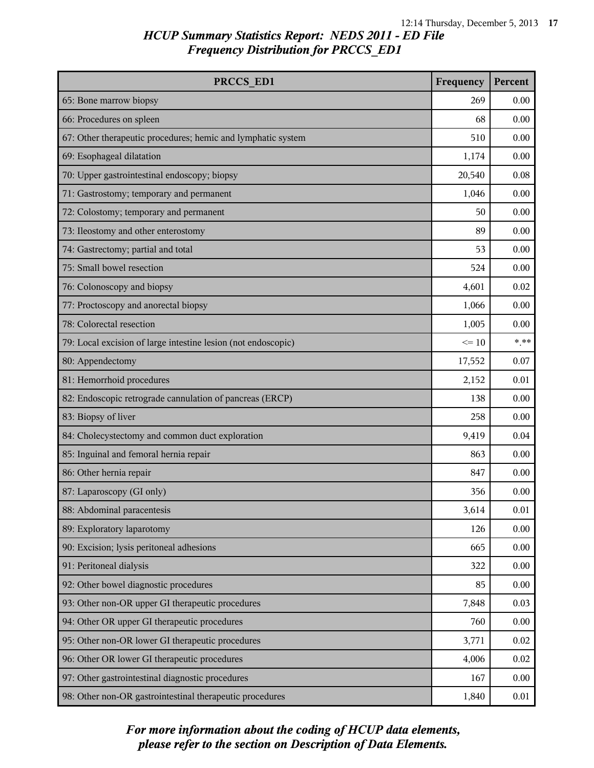| PRCCS ED1                                                     | Frequency | Percent |
|---------------------------------------------------------------|-----------|---------|
| 65: Bone marrow biopsy                                        | 269       | 0.00    |
| 66: Procedures on spleen                                      | 68        | 0.00    |
| 67: Other therapeutic procedures; hemic and lymphatic system  | 510       | 0.00    |
| 69: Esophageal dilatation                                     | 1,174     | 0.00    |
| 70: Upper gastrointestinal endoscopy; biopsy                  | 20,540    | 0.08    |
| 71: Gastrostomy; temporary and permanent                      | 1,046     | 0.00    |
| 72: Colostomy; temporary and permanent                        | 50        | 0.00    |
| 73: Ileostomy and other enterostomy                           | 89        | 0.00    |
| 74: Gastrectomy; partial and total                            | 53        | 0.00    |
| 75: Small bowel resection                                     | 524       | 0.00    |
| 76: Colonoscopy and biopsy                                    | 4,601     | 0.02    |
| 77: Proctoscopy and anorectal biopsy                          | 1,066     | 0.00    |
| 78: Colorectal resection                                      | 1,005     | 0.00    |
| 79: Local excision of large intestine lesion (not endoscopic) | $\leq 10$ | $***$   |
| 80: Appendectomy                                              | 17,552    | 0.07    |
| 81: Hemorrhoid procedures                                     | 2,152     | 0.01    |
| 82: Endoscopic retrograde cannulation of pancreas (ERCP)      | 138       | 0.00    |
| 83: Biopsy of liver                                           | 258       | 0.00    |
| 84: Cholecystectomy and common duct exploration               | 9,419     | 0.04    |
| 85: Inguinal and femoral hernia repair                        | 863       | 0.00    |
| 86: Other hernia repair                                       | 847       | 0.00    |
| 87: Laparoscopy (GI only)                                     | 356       | 0.00    |
| 88: Abdominal paracentesis                                    | 3,614     | 0.01    |
| 89: Exploratory laparotomy                                    | 126       | 0.00    |
| 90: Excision; lysis peritoneal adhesions                      | 665       | 0.00    |
| 91: Peritoneal dialysis                                       | 322       | 0.00    |
| 92: Other bowel diagnostic procedures                         | 85        | 0.00    |
| 93: Other non-OR upper GI therapeutic procedures              | 7,848     | 0.03    |
| 94: Other OR upper GI therapeutic procedures                  | 760       | 0.00    |
| 95: Other non-OR lower GI therapeutic procedures              | 3,771     | 0.02    |
| 96: Other OR lower GI therapeutic procedures                  | 4,006     | 0.02    |
| 97: Other gastrointestinal diagnostic procedures              | 167       | 0.00    |
| 98: Other non-OR gastrointestinal therapeutic procedures      | 1,840     | 0.01    |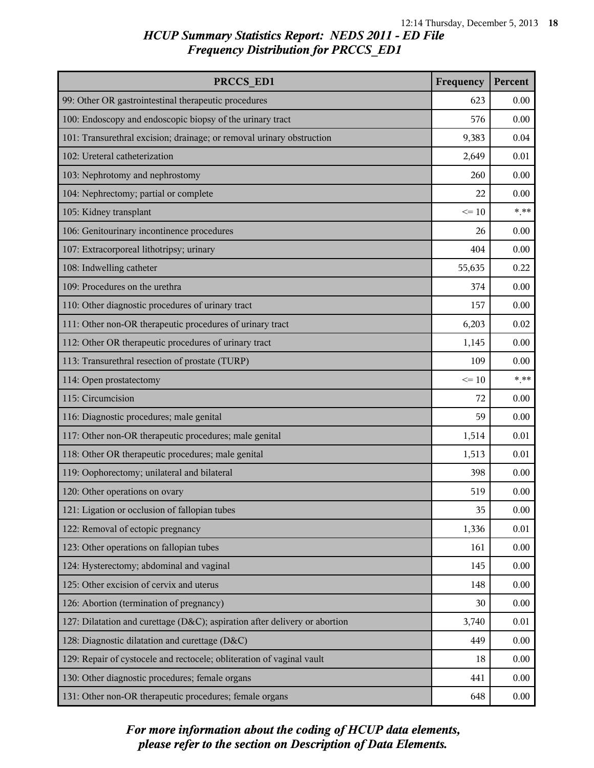| PRCCS ED1                                                                  | Frequency | Percent |
|----------------------------------------------------------------------------|-----------|---------|
| 99: Other OR gastrointestinal therapeutic procedures                       | 623       | 0.00    |
| 100: Endoscopy and endoscopic biopsy of the urinary tract                  | 576       | 0.00    |
| 101: Transurethral excision; drainage; or removal urinary obstruction      | 9,383     | 0.04    |
| 102: Ureteral catheterization                                              | 2,649     | 0.01    |
| 103: Nephrotomy and nephrostomy                                            | 260       | 0.00    |
| 104: Nephrectomy; partial or complete                                      | 22        | 0.00    |
| 105: Kidney transplant                                                     | $\leq 10$ | $***$   |
| 106: Genitourinary incontinence procedures                                 | 26        | 0.00    |
| 107: Extracorporeal lithotripsy; urinary                                   | 404       | 0.00    |
| 108: Indwelling catheter                                                   | 55,635    | 0.22    |
| 109: Procedures on the urethra                                             | 374       | 0.00    |
| 110: Other diagnostic procedures of urinary tract                          | 157       | 0.00    |
| 111: Other non-OR therapeutic procedures of urinary tract                  | 6,203     | 0.02    |
| 112: Other OR therapeutic procedures of urinary tract                      | 1,145     | 0.00    |
| 113: Transurethral resection of prostate (TURP)                            | 109       | 0.00    |
| 114: Open prostatectomy                                                    | $\leq 10$ | $***$   |
| 115: Circumcision                                                          | 72        | 0.00    |
| 116: Diagnostic procedures; male genital                                   | 59        | 0.00    |
| 117: Other non-OR therapeutic procedures; male genital                     | 1,514     | 0.01    |
| 118: Other OR therapeutic procedures; male genital                         | 1,513     | 0.01    |
| 119: Oophorectomy; unilateral and bilateral                                | 398       | 0.00    |
| 120: Other operations on ovary                                             | 519       | 0.00    |
| 121: Ligation or occlusion of fallopian tubes                              | 35        | 0.00    |
| 122: Removal of ectopic pregnancy                                          | 1,336     | 0.01    |
| 123: Other operations on fallopian tubes                                   | 161       | 0.00    |
| 124: Hysterectomy; abdominal and vaginal                                   | 145       | 0.00    |
| 125: Other excision of cervix and uterus                                   | 148       | 0.00    |
| 126: Abortion (termination of pregnancy)                                   | 30        | 0.00    |
| 127: Dilatation and curettage (D&C); aspiration after delivery or abortion | 3,740     | 0.01    |
| 128: Diagnostic dilatation and curettage (D&C)                             | 449       | 0.00    |
| 129: Repair of cystocele and rectocele; obliteration of vaginal vault      | 18        | 0.00    |
| 130: Other diagnostic procedures; female organs                            | 441       | 0.00    |
| 131: Other non-OR therapeutic procedures; female organs                    | 648       | 0.00    |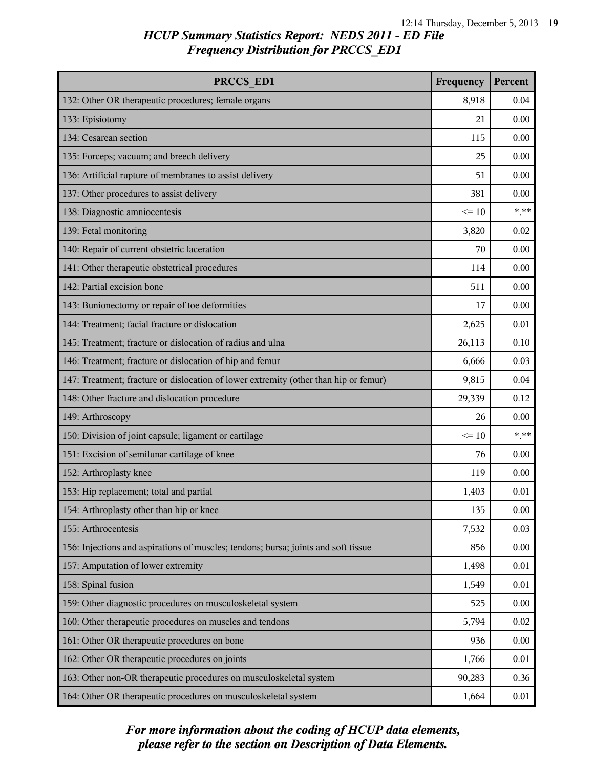| PRCCS ED1                                                                            | Frequency | Percent |
|--------------------------------------------------------------------------------------|-----------|---------|
| 132: Other OR therapeutic procedures; female organs                                  | 8,918     | 0.04    |
| 133: Episiotomy                                                                      | 21        | 0.00    |
| 134: Cesarean section                                                                | 115       | 0.00    |
| 135: Forceps; vacuum; and breech delivery                                            | 25        | 0.00    |
| 136: Artificial rupture of membranes to assist delivery                              | 51        | 0.00    |
| 137: Other procedures to assist delivery                                             | 381       | 0.00    |
| 138: Diagnostic amniocentesis                                                        | $\leq 10$ | $***$   |
| 139: Fetal monitoring                                                                | 3,820     | 0.02    |
| 140: Repair of current obstetric laceration                                          | 70        | 0.00    |
| 141: Other therapeutic obstetrical procedures                                        | 114       | 0.00    |
| 142: Partial excision bone                                                           | 511       | 0.00    |
| 143: Bunionectomy or repair of toe deformities                                       | 17        | 0.00    |
| 144: Treatment; facial fracture or dislocation                                       | 2,625     | 0.01    |
| 145: Treatment; fracture or dislocation of radius and ulna                           | 26,113    | 0.10    |
| 146: Treatment; fracture or dislocation of hip and femur                             | 6,666     | 0.03    |
| 147: Treatment; fracture or dislocation of lower extremity (other than hip or femur) | 9,815     | 0.04    |
| 148: Other fracture and dislocation procedure                                        | 29,339    | 0.12    |
| 149: Arthroscopy                                                                     | 26        | 0.00    |
| 150: Division of joint capsule; ligament or cartilage                                | $\leq 10$ | $***$   |
| 151: Excision of semilunar cartilage of knee                                         | 76        | 0.00    |
| 152: Arthroplasty knee                                                               | 119       | 0.00    |
| 153: Hip replacement; total and partial                                              | 1,403     | 0.01    |
| 154: Arthroplasty other than hip or knee                                             | 135       | 0.00    |
| 155: Arthrocentesis                                                                  | 7,532     | 0.03    |
| 156: Injections and aspirations of muscles; tendons; bursa; joints and soft tissue   | 856       | 0.00    |
| 157: Amputation of lower extremity                                                   | 1,498     | 0.01    |
| 158: Spinal fusion                                                                   | 1,549     | 0.01    |
| 159: Other diagnostic procedures on musculoskeletal system                           | 525       | 0.00    |
| 160: Other therapeutic procedures on muscles and tendons                             | 5,794     | 0.02    |
| 161: Other OR therapeutic procedures on bone                                         | 936       | 0.00    |
| 162: Other OR therapeutic procedures on joints                                       | 1,766     | 0.01    |
| 163: Other non-OR therapeutic procedures on musculoskeletal system                   | 90,283    | 0.36    |
| 164: Other OR therapeutic procedures on musculoskeletal system                       | 1,664     | 0.01    |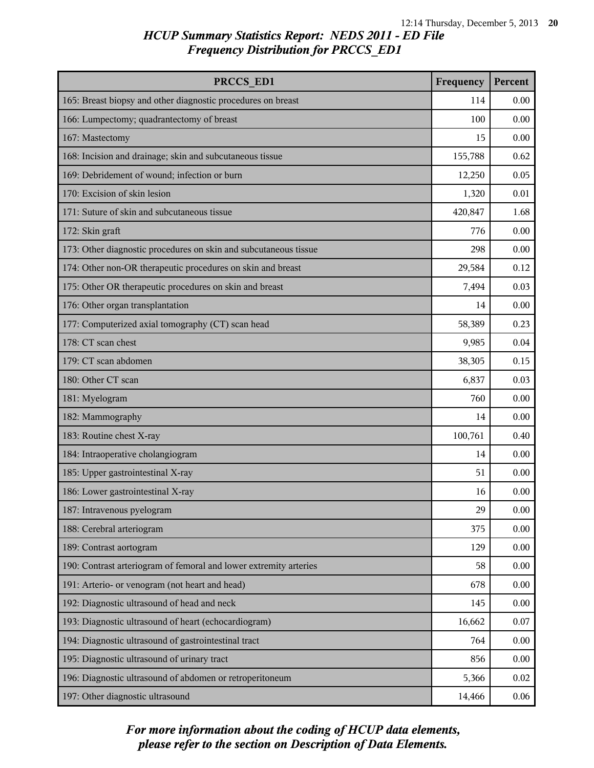| PRCCS ED1                                                         | Frequency | Percent |
|-------------------------------------------------------------------|-----------|---------|
| 165: Breast biopsy and other diagnostic procedures on breast      | 114       | 0.00    |
| 166: Lumpectomy; quadrantectomy of breast                         | 100       | 0.00    |
| 167: Mastectomy                                                   | 15        | 0.00    |
| 168: Incision and drainage; skin and subcutaneous tissue          | 155,788   | 0.62    |
| 169: Debridement of wound; infection or burn                      | 12,250    | 0.05    |
| 170: Excision of skin lesion                                      | 1,320     | 0.01    |
| 171: Suture of skin and subcutaneous tissue                       | 420,847   | 1.68    |
| 172: Skin graft                                                   | 776       | 0.00    |
| 173: Other diagnostic procedures on skin and subcutaneous tissue  | 298       | 0.00    |
| 174: Other non-OR therapeutic procedures on skin and breast       | 29,584    | 0.12    |
| 175: Other OR therapeutic procedures on skin and breast           | 7,494     | 0.03    |
| 176: Other organ transplantation                                  | 14        | 0.00    |
| 177: Computerized axial tomography (CT) scan head                 | 58,389    | 0.23    |
| 178: CT scan chest                                                | 9,985     | 0.04    |
| 179: CT scan abdomen                                              | 38,305    | 0.15    |
| 180: Other CT scan                                                | 6,837     | 0.03    |
| 181: Myelogram                                                    | 760       | 0.00    |
| 182: Mammography                                                  | 14        | 0.00    |
| 183: Routine chest X-ray                                          | 100,761   | 0.40    |
| 184: Intraoperative cholangiogram                                 | 14        | 0.00    |
| 185: Upper gastrointestinal X-ray                                 | 51        | 0.00    |
| 186: Lower gastrointestinal X-ray                                 | 16        | 0.00    |
| 187: Intravenous pyelogram                                        | 29        | 0.00    |
| 188: Cerebral arteriogram                                         | 375       | 0.00    |
| 189: Contrast aortogram                                           | 129       | 0.00    |
| 190: Contrast arteriogram of femoral and lower extremity arteries | 58        | 0.00    |
| 191: Arterio- or venogram (not heart and head)                    | 678       | 0.00    |
| 192: Diagnostic ultrasound of head and neck                       | 145       | 0.00    |
| 193: Diagnostic ultrasound of heart (echocardiogram)              | 16,662    | 0.07    |
| 194: Diagnostic ultrasound of gastrointestinal tract              | 764       | 0.00    |
| 195: Diagnostic ultrasound of urinary tract                       | 856       | 0.00    |
| 196: Diagnostic ultrasound of abdomen or retroperitoneum          | 5,366     | 0.02    |
| 197: Other diagnostic ultrasound                                  | 14,466    | 0.06    |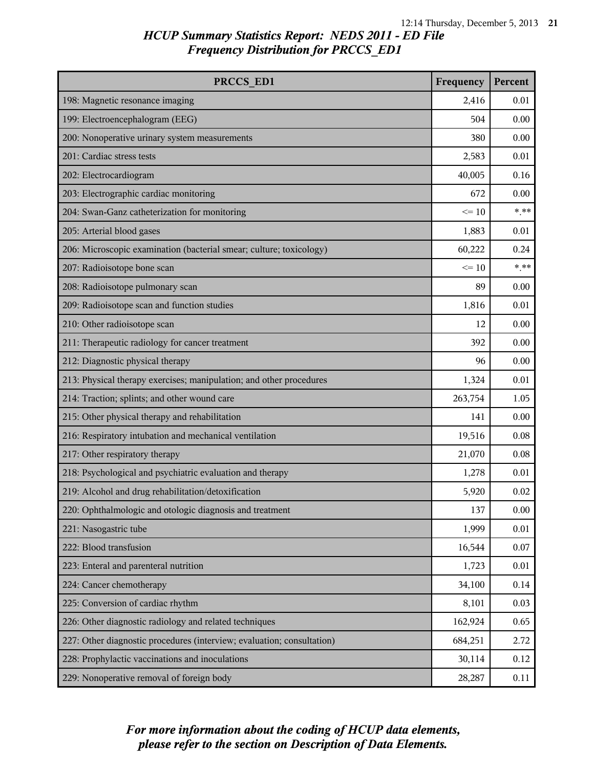| PRCCS ED1                                                              | Frequency | Percent |
|------------------------------------------------------------------------|-----------|---------|
| 198: Magnetic resonance imaging                                        | 2,416     | 0.01    |
| 199: Electroencephalogram (EEG)                                        | 504       | 0.00    |
| 200: Nonoperative urinary system measurements                          | 380       | 0.00    |
| 201: Cardiac stress tests                                              | 2,583     | 0.01    |
| 202: Electrocardiogram                                                 | 40,005    | 0.16    |
| 203: Electrographic cardiac monitoring                                 | 672       | 0.00    |
| 204: Swan-Ganz catheterization for monitoring                          | $\leq 10$ | $***$   |
| 205: Arterial blood gases                                              | 1,883     | 0.01    |
| 206: Microscopic examination (bacterial smear; culture; toxicology)    | 60,222    | 0.24    |
| 207: Radioisotope bone scan                                            | $\leq 10$ | $***$   |
| 208: Radioisotope pulmonary scan                                       | 89        | 0.00    |
| 209: Radioisotope scan and function studies                            | 1,816     | 0.01    |
| 210: Other radioisotope scan                                           | 12        | 0.00    |
| 211: Therapeutic radiology for cancer treatment                        | 392       | 0.00    |
| 212: Diagnostic physical therapy                                       | 96        | 0.00    |
| 213: Physical therapy exercises; manipulation; and other procedures    | 1,324     | 0.01    |
| 214: Traction; splints; and other wound care                           | 263,754   | 1.05    |
| 215: Other physical therapy and rehabilitation                         | 141       | 0.00    |
| 216: Respiratory intubation and mechanical ventilation                 | 19,516    | 0.08    |
| 217: Other respiratory therapy                                         | 21,070    | 0.08    |
| 218: Psychological and psychiatric evaluation and therapy              | 1,278     | 0.01    |
| 219: Alcohol and drug rehabilitation/detoxification                    | 5,920     | 0.02    |
| 220: Ophthalmologic and otologic diagnosis and treatment               | 137       | 0.00    |
| 221: Nasogastric tube                                                  | 1,999     | 0.01    |
| 222: Blood transfusion                                                 | 16,544    | 0.07    |
| 223: Enteral and parenteral nutrition                                  | 1,723     | 0.01    |
| 224: Cancer chemotherapy                                               | 34,100    | 0.14    |
| 225: Conversion of cardiac rhythm                                      | 8,101     | 0.03    |
| 226: Other diagnostic radiology and related techniques                 | 162,924   | 0.65    |
| 227: Other diagnostic procedures (interview; evaluation; consultation) | 684,251   | 2.72    |
| 228: Prophylactic vaccinations and inoculations                        | 30,114    | 0.12    |
| 229: Nonoperative removal of foreign body                              | 28,287    | 0.11    |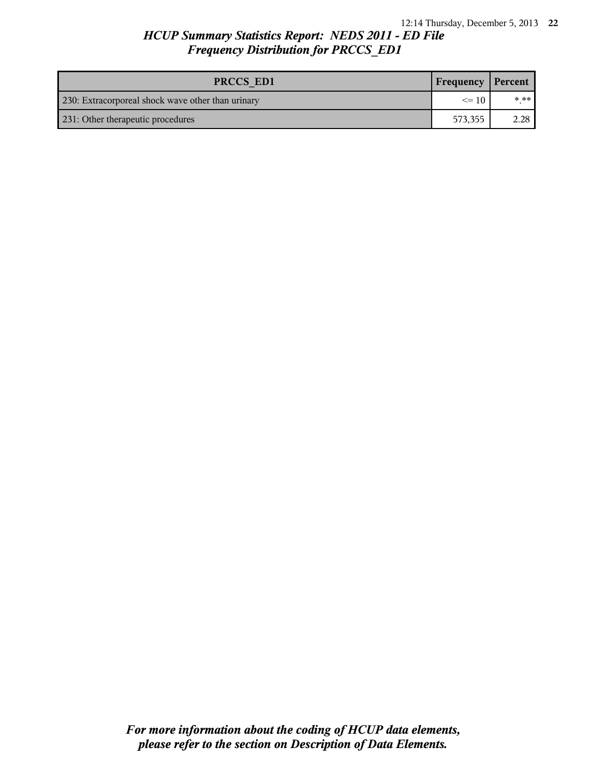| PRCCS ED1                                         | <b>Frequency Percent</b> |           |
|---------------------------------------------------|--------------------------|-----------|
| 230: Extracorporeal shock wave other than urinary | $\leq$ 10                | $* * * 1$ |
| 231: Other therapeutic procedures                 | 573.355                  | 2.28      |